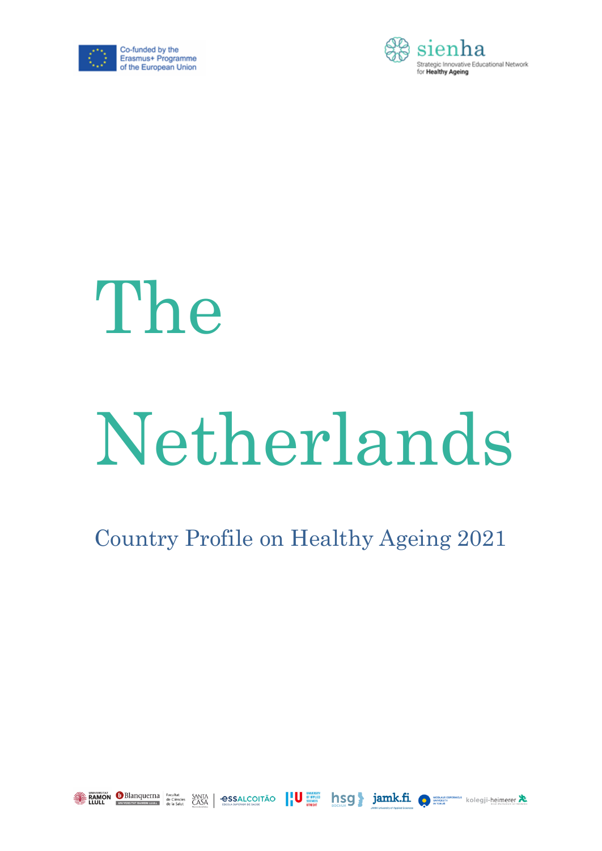



# The

# Netherlands

## Country Profile on Healthy Ageing 2021



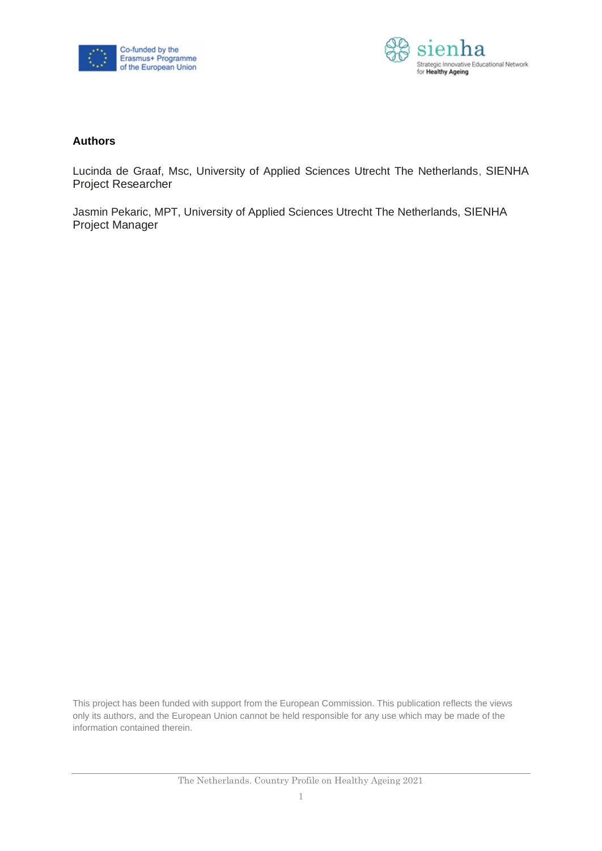



#### **Authors**

Lucinda de Graaf, Msc, University of Applied Sciences Utrecht The Netherlands, SIENHA Project Researcher

Jasmin Pekaric, MPT, University of Applied Sciences Utrecht The Netherlands, SIENHA Project Manager

This project has been funded with support from the European Commission. This publication reflects the views only its authors, and the European Union cannot be held responsible for any use which may be made of the information contained therein.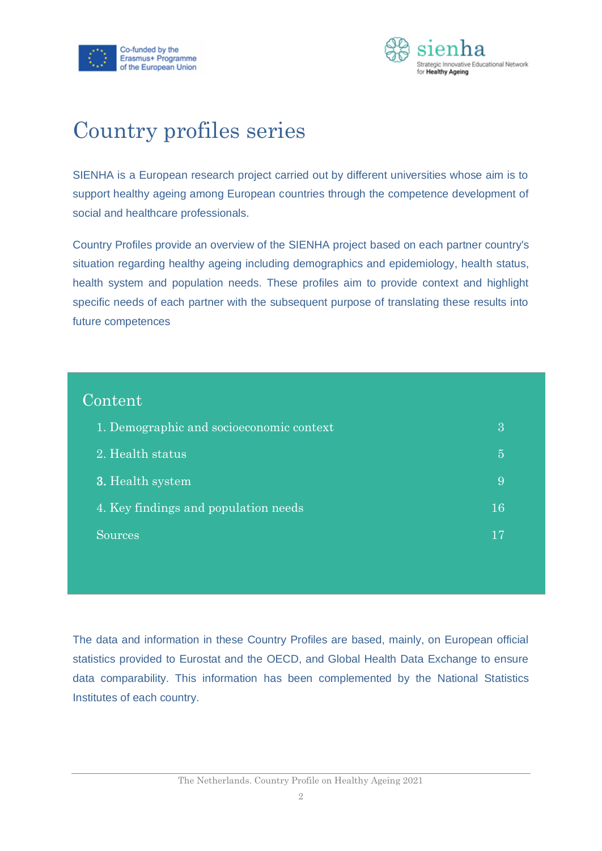



## Country profiles series

SIENHA is a European research project carried out by different universities whose aim is to support healthy ageing among European countries through the competence development of social and healthcare professionals.

Country Profiles provide an overview of the SIENHA project based on each partner country's situation regarding healthy ageing including demographics and epidemiology, health status, health system and population needs. These profiles aim to provide context and highlight specific needs of each partner with the subsequent purpose of translating these results into future competences

| Content                                  |                |
|------------------------------------------|----------------|
| 1. Demographic and socioeconomic context | 3              |
| 2. Health status                         | $\overline{5}$ |
| 3. Health system                         | 9              |
| 4. Key findings and population needs     | 16             |
| <b>Sources</b>                           | 17             |
|                                          |                |

The data and information in these Country Profiles are based, mainly, on European official statistics provided to Eurostat and the OECD, and Global Health Data Exchange to ensure data comparability. This information has been complemented by the National Statistics Institutes of each country.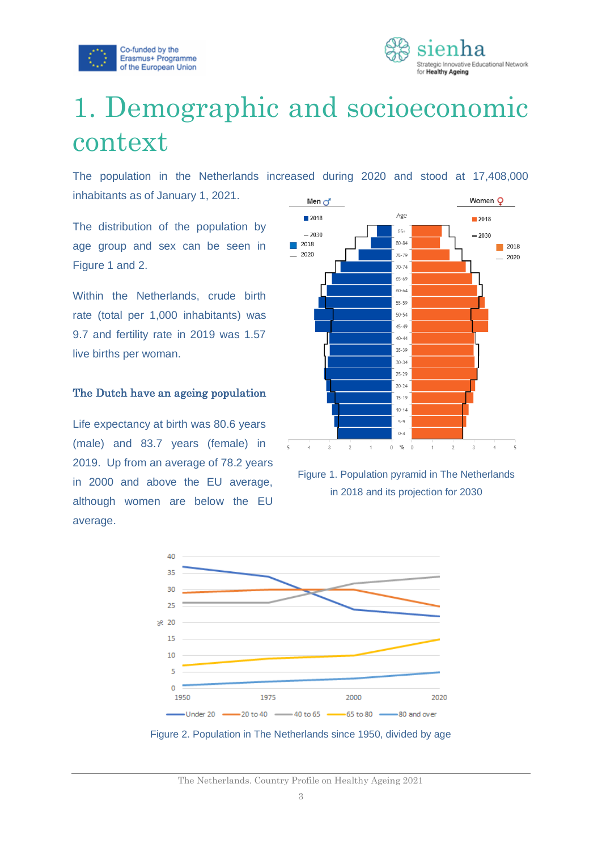



# <span id="page-3-0"></span>1. Demographic and socioeconomic context

The population in the Netherlands increased during 2020 and stood at 17,408,000 inhabitants as of January 1, 2021.

The distribution of the population by age group and sex can be seen in Figure 1 and 2.

Within the Netherlands, crude birth rate (total per 1,000 inhabitants) was 9.7 and fertility rate in 2019 was 1.57 live births per woman.

#### The Dutch have an ageing population

Life expectancy at birth was 80.6 years (male) and 83.7 years (female) in 2019. Up from an average of 78.2 years in 2000 and above the EU average, although women are below the EU average.



Figure 1. Population pyramid in The Netherlands in 2018 and its projection for 2030



Figure 2. Population in The Netherlands since 1950, divided by age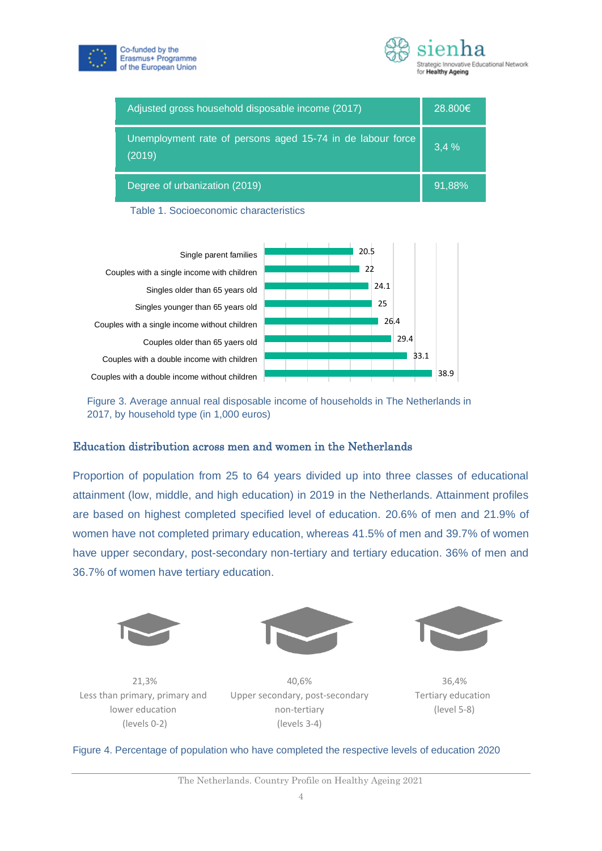



| Adjusted gross household disposable income (2017)                    | 28,800€ |
|----------------------------------------------------------------------|---------|
| Unemployment rate of persons aged 15-74 in de labour force<br>(2019) | 3,4%    |
| Degree of urbanization (2019)                                        | 91.88%  |

Table 1. Socioeconomic characteristics



Figure 3. Average annual real disposable income of households in The Netherlands in 2017, by household type (in 1,000 euros)

#### Education distribution across men and women in the Netherlands

Proportion of population from 25 to 64 years divided up into three classes of educational attainment (low, middle, and high education) in 2019 in the Netherlands. Attainment profiles are based on highest completed specified level of education. 20.6% of men and 21.9% of women have not completed primary education, whereas 41.5% of men and 39.7% of women have upper secondary, post-secondary non-tertiary and tertiary education. 36% of men and 36.7% of women have tertiary education.







21,3% Less than primary, primary and lower education (levels 0-2)

40,6% Upper secondary, post-secondary non-tertiary (levels 3-4)

36,4% Tertiary education (level 5-8)

#### Figure 4. Percentage of population who have completed the respective levels of education 2020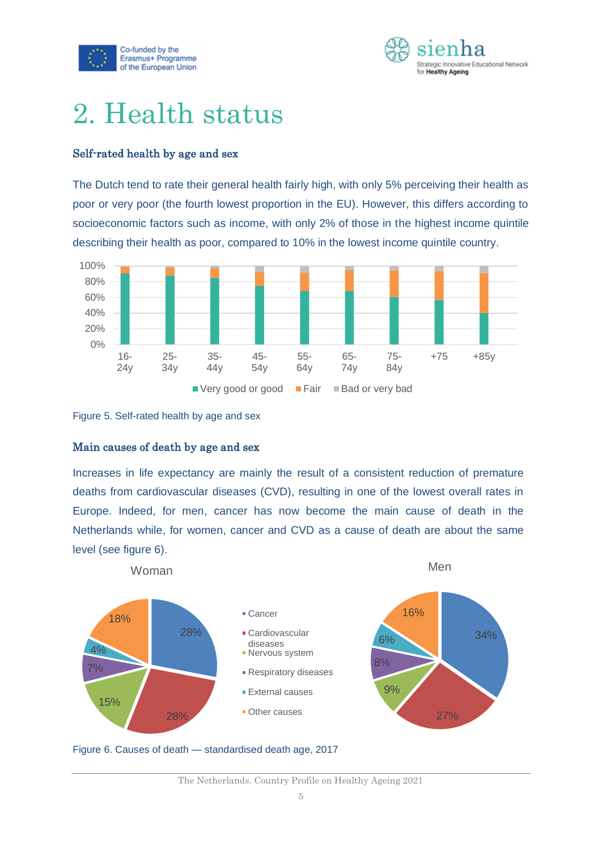



## <span id="page-5-0"></span>2. Health status

#### Self-rated health by age and sex

The Dutch tend to rate their general health fairly high, with only 5% perceiving their health as poor or very poor (the fourth lowest proportion in the EU). However, this differs according to socioeconomic factors such as income, with only 2% of those in the highest income quintile describing their health as poor, compared to 10% in the lowest income quintile country.





#### Main causes of death by age and sex

Increases in life expectancy are mainly the result of a consistent reduction of premature deaths from cardiovascular diseases (CVD), resulting in one of the lowest overall rates in Europe. Indeed, for men, cancer has now become the main cause of death in the Netherlands while, for women, cancer and CVD as a cause of death are about the same level (see figure 6).



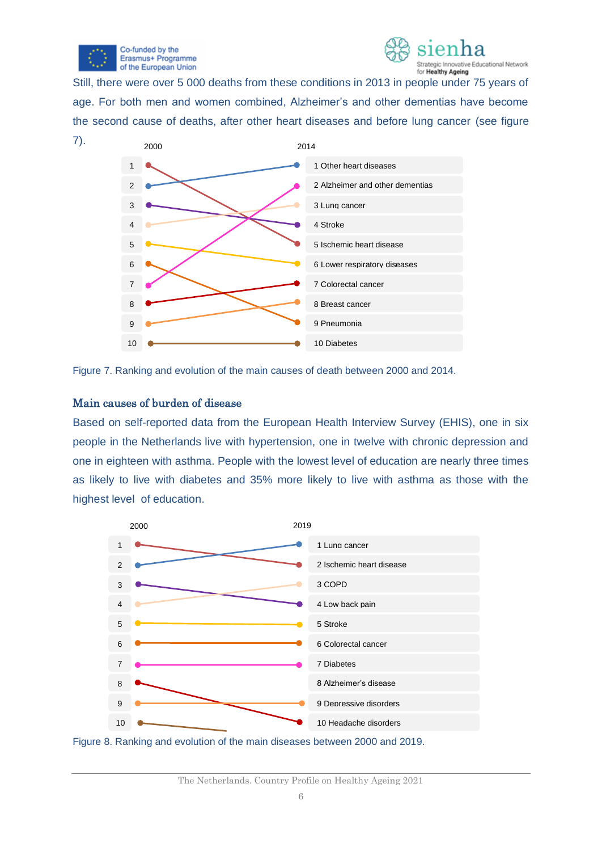



Still, there were over 5 000 deaths from these conditions in 2013 in people under 75 years of age. For both men and women combined, Alzheimer's and other dementias have become the second cause of deaths, after other heart diseases and before lung cancer (see figure



Figure 7. Ranking and evolution of the main causes of death between 2000 and 2014.

#### Main causes of burden of disease

Based on self-reported data from the European Health Interview Survey (EHIS), one in six people in the Netherlands live with hypertension, one in twelve with chronic depression and one in eighteen with asthma. People with the lowest level of education are nearly three times as likely to live with diabetes and 35% more likely to live with asthma as those with the highest level of education.



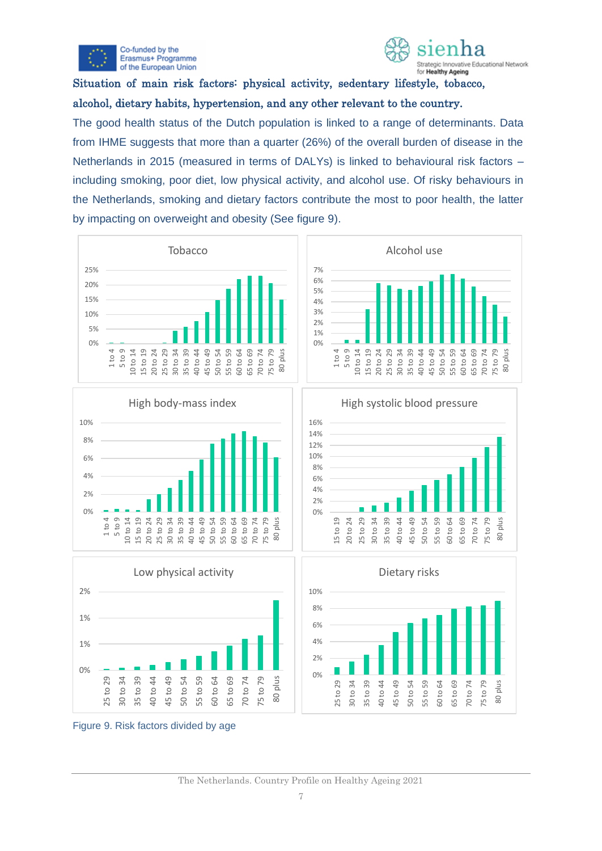



### Situation of main risk factors: physical activity, sedentary lifestyle, tobacco, alcohol, dietary habits, hypertension, and any other relevant to the country.

The good health status of the Dutch population is linked to a range of determinants. Data from IHME suggests that more than a quarter (26%) of the overall burden of disease in the Netherlands in 2015 (measured in terms of DALYs) is linked to behavioural risk factors – including smoking, poor diet, low physical activity, and alcohol use. Of risky behaviours in the Netherlands, smoking and dietary factors contribute the most to poor health, the latter by impacting on overweight and obesity (See figure 9).













Figure 9. Risk factors divided by age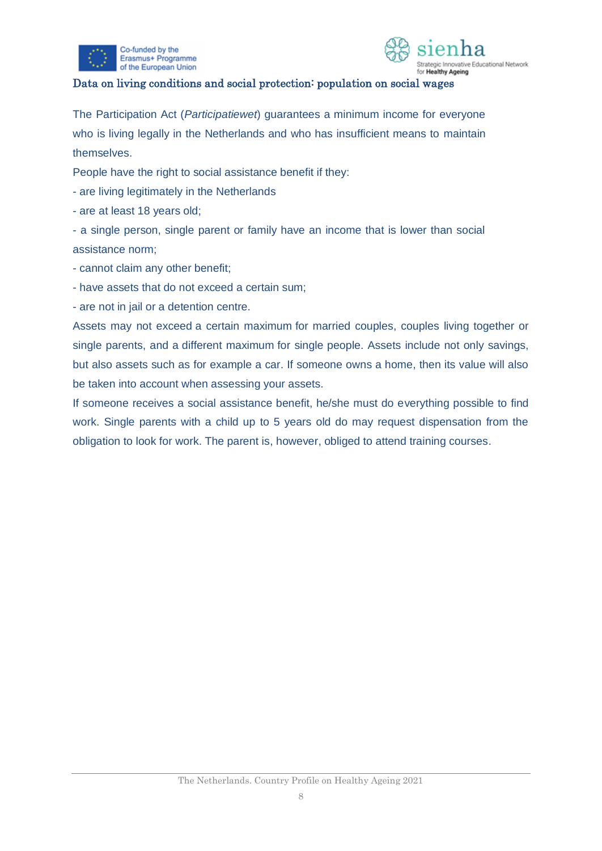



#### Data on living conditions and social protection: population on social wages

The Participation Act (*Participatiewet*) guarantees a minimum income for everyone who is living legally in the Netherlands and who has insufficient means to maintain themselves.

People have the right to social assistance benefit if they:

- are living legitimately in the Netherlands

- are at least 18 years old;

- a single person, single parent or family have an income that is lower than social assistance norm;

- cannot claim any other benefit;
- have assets that do not exceed a certain sum;
- are not in jail or a detention centre.

Assets may not exceed a certain maximum for married couples, couples living together or single parents, and a different maximum for single people. Assets include not only savings, but also assets such as for example a car. If someone owns a home, then its value will also be taken into account when assessing your assets.

<span id="page-8-0"></span>If someone receives a social assistance benefit, he/she must do everything possible to find work. Single parents with a child up to 5 years old do may request dispensation from the obligation to look for work. The parent is, however, obliged to attend training courses.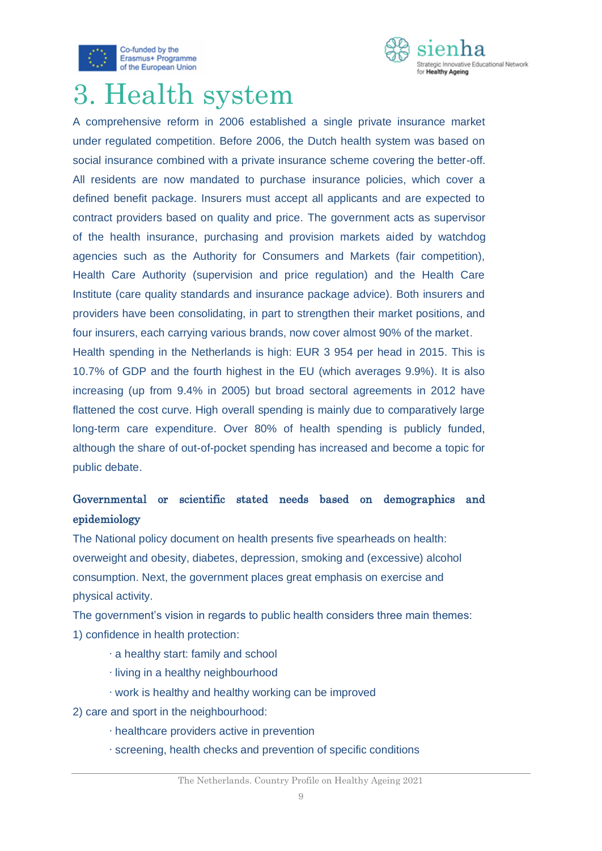



# 3. Health system

A comprehensive reform in 2006 established a single private insurance market under regulated competition. Before 2006, the Dutch health system was based on social insurance combined with a private insurance scheme covering the better-off. All residents are now mandated to purchase insurance policies, which cover a defined benefit package. Insurers must accept all applicants and are expected to contract providers based on quality and price. The government acts as supervisor of the health insurance, purchasing and provision markets aided by watchdog agencies such as the Authority for Consumers and Markets (fair competition), Health Care Authority (supervision and price regulation) and the Health Care Institute (care quality standards and insurance package advice). Both insurers and providers have been consolidating, in part to strengthen their market positions, and four insurers, each carrying various brands, now cover almost 90% of the market. Health spending in the Netherlands is high: EUR 3 954 per head in 2015. This is 10.7% of GDP and the fourth highest in the EU (which averages 9.9%). It is also increasing (up from 9.4% in 2005) but broad sectoral agreements in 2012 have flattened the cost curve. High overall spending is mainly due to comparatively large long-term care expenditure. Over 80% of health spending is publicly funded,

although the share of out-of-pocket spending has increased and become a topic for public debate.

## Governmental or scientific stated needs based on demographics and epidemiology

The National policy document on health presents five spearheads on health: overweight and obesity, diabetes, depression, smoking and (excessive) alcohol consumption. Next, the government places great emphasis on exercise and physical activity.

The government's vision in regards to public health considers three main themes: 1) confidence in health protection:

- ∙ a healthy start: family and school
- ∙ living in a healthy neighbourhood
- ∙ work is healthy and healthy working can be improved
- 2) care and sport in the neighbourhood:
	- ∙ healthcare providers active in prevention
	- ∙ screening, health checks and prevention of specific conditions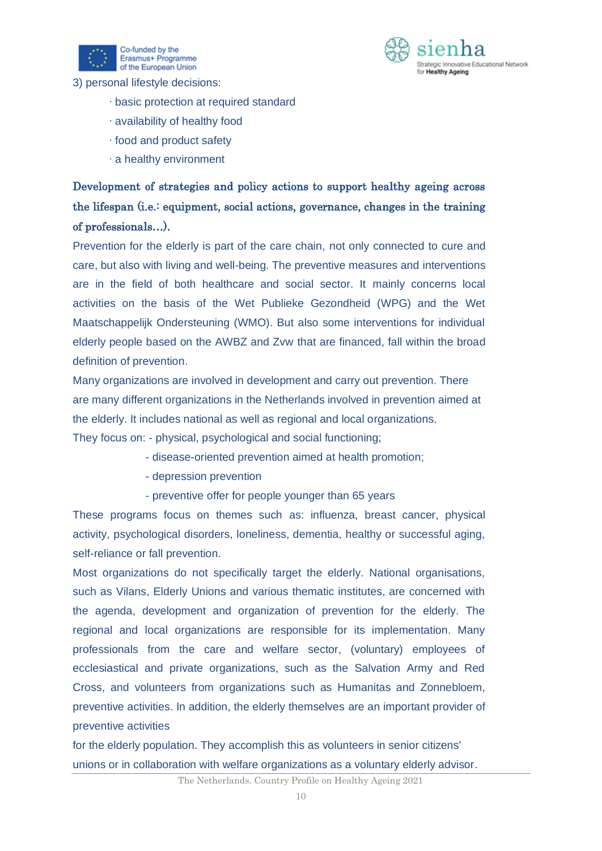



3) personal lifestyle decisions:

- ∙ basic protection at required standard
- ∙ availability of healthy food
- ∙ food and product safety
- ∙ a healthy environment

## Development of strategies and policy actions to support healthy ageing across the lifespan (i.e.: equipment, social actions, governance, changes in the training of professionals…).

Prevention for the elderly is part of the care chain, not only connected to cure and care, but also with living and well-being. The preventive measures and interventions are in the field of both healthcare and social sector. It mainly concerns local activities on the basis of the Wet Publieke Gezondheid (WPG) and the Wet Maatschappelijk Ondersteuning (WMO). But also some interventions for individual elderly people based on the AWBZ and Zvw that are financed, fall within the broad definition of prevention.

Many organizations are involved in development and carry out prevention. There are many different organizations in the Netherlands involved in prevention aimed at the elderly. It includes national as well as regional and local organizations. They focus on: - physical, psychological and social functioning;

- disease-oriented prevention aimed at health promotion;
- depression prevention
- preventive offer for people younger than 65 years

These programs focus on themes such as: influenza, breast cancer, physical activity, psychological disorders, loneliness, dementia, healthy or successful aging, self-reliance or fall prevention.

Most organizations do not specifically target the elderly. National organisations, such as Vilans, Elderly Unions and various thematic institutes, are concerned with the agenda, development and organization of prevention for the elderly. The regional and local organizations are responsible for its implementation. Many professionals from the care and welfare sector, (voluntary) employees of ecclesiastical and private organizations, such as the Salvation Army and Red Cross, and volunteers from organizations such as Humanitas and Zonnebloem, preventive activities. In addition, the elderly themselves are an important provider of preventive activities

for the elderly population. They accomplish this as volunteers in senior citizens' unions or in collaboration with welfare organizations as a voluntary elderly advisor.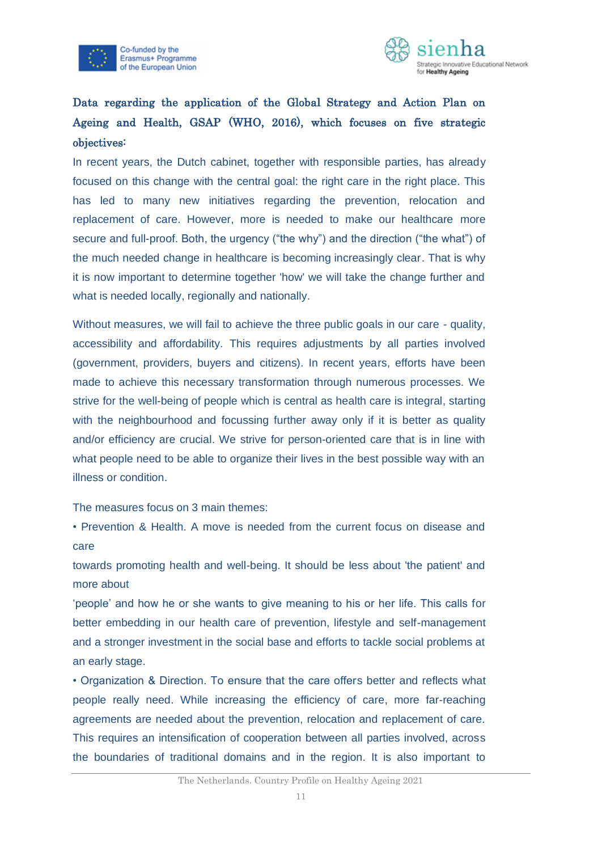



## Data regarding the application of the [Global Strategy and Action Plan on](https://www.who.int/ageing/global-strategy/en/)  [Ageing and Health, GSAP](https://www.who.int/ageing/global-strategy/en/) (WHO, 2016), which focuses on five strategic objectives:

In recent years, the Dutch cabinet, together with responsible parties, has already focused on this change with the central goal: the right care in the right place. This has led to many new initiatives regarding the prevention, relocation and replacement of care. However, more is needed to make our healthcare more secure and full-proof. Both, the urgency ("the why") and the direction ("the what") of the much needed change in healthcare is becoming increasingly clear. That is why it is now important to determine together 'how' we will take the change further and what is needed locally, regionally and nationally.

Without measures, we will fail to achieve the three public goals in our care - quality, accessibility and affordability. This requires adjustments by all parties involved (government, providers, buyers and citizens). In recent years, efforts have been made to achieve this necessary transformation through numerous processes. We strive for the well-being of people which is central as health care is integral, starting with the neighbourhood and focussing further away only if it is better as quality and/or efficiency are crucial. We strive for person-oriented care that is in line with what people need to be able to organize their lives in the best possible way with an illness or condition.

The measures focus on 3 main themes:

• Prevention & Health. A move is needed from the current focus on disease and care

towards promoting health and well-being. It should be less about 'the patient' and more about

'people' and how he or she wants to give meaning to his or her life. This calls for better embedding in our health care of prevention, lifestyle and self-management and a stronger investment in the social base and efforts to tackle social problems at an early stage.

• Organization & Direction. To ensure that the care offers better and reflects what people really need. While increasing the efficiency of care, more far-reaching agreements are needed about the prevention, relocation and replacement of care. This requires an intensification of cooperation between all parties involved, across the boundaries of traditional domains and in the region. It is also important to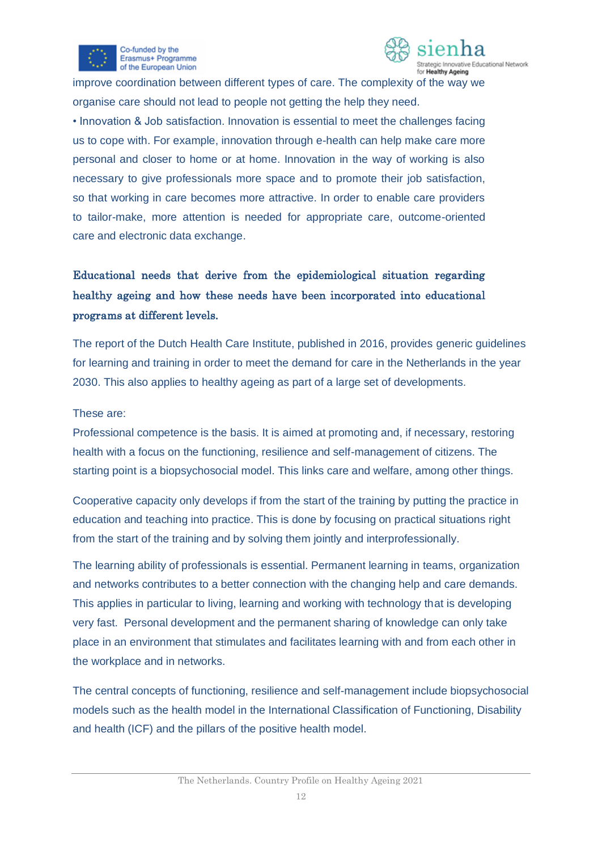



improve coordination between different types of care. The complexity of the way we organise care should not lead to people not getting the help they need.

• Innovation & Job satisfaction. Innovation is essential to meet the challenges facing us to cope with. For example, innovation through e-health can help make care more personal and closer to home or at home. Innovation in the way of working is also necessary to give professionals more space and to promote their job satisfaction, so that working in care becomes more attractive. In order to enable care providers to tailor-make, more attention is needed for appropriate care, outcome-oriented care and electronic data exchange.

## Educational needs that derive from the epidemiological situation regarding healthy ageing and how these needs have been incorporated into educational programs at different levels.

The report of the Dutch Health Care Institute, published in 2016, provides generic guidelines for learning and training in order to meet the demand for care in the Netherlands in the year 2030. This also applies to healthy ageing as part of a large set of developments.

#### These are:

Professional competence is the basis. It is aimed at promoting and, if necessary, restoring health with a focus on the functioning, resilience and self-management of citizens. The starting point is a biopsychosocial model. This links care and welfare, among other things.

Cooperative capacity only develops if from the start of the training by putting the practice in education and teaching into practice. This is done by focusing on practical situations right from the start of the training and by solving them jointly and interprofessionally.

The learning ability of professionals is essential. Permanent learning in teams, organization and networks contributes to a better connection with the changing help and care demands. This applies in particular to living, learning and working with technology that is developing very fast. Personal development and the permanent sharing of knowledge can only take place in an environment that stimulates and facilitates learning with and from each other in the workplace and in networks.

The central concepts of functioning, resilience and self-management include biopsychosocial models such as the health model in the International Classification of Functioning, Disability and health (ICF) and the pillars of the positive health model.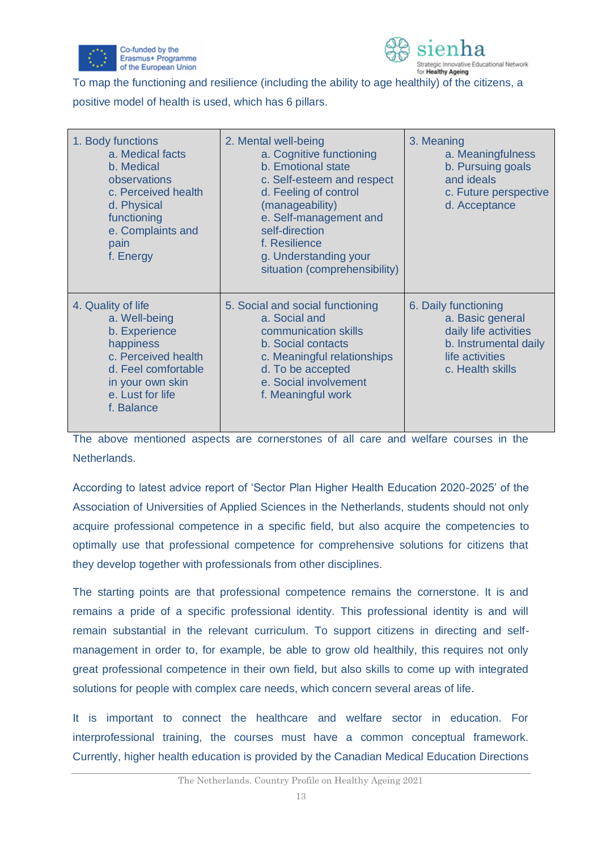



To map the functioning and resilience (including the ability to age healthily) of the citizens, a

positive model of health is used, which has 6 pillars.

| 1. Body functions<br>a. Medical facts<br>b. Medical<br>observations<br>c. Perceived health<br>d. Physical<br>functioning<br>e. Complaints and<br>pain<br>f. Energy    | 2. Mental well-being<br>a. Cognitive functioning<br>b. Emotional state<br>c. Self-esteem and respect<br>d. Feeling of control<br>(manageability)<br>e. Self-management and<br>self-direction<br>f. Resilience<br>g. Understanding your<br>situation (comprehensibility) | 3. Meaning<br>a. Meaningfulness<br>b. Pursuing goals<br>and ideals<br>c. Future perspective<br>d. Acceptance                      |
|-----------------------------------------------------------------------------------------------------------------------------------------------------------------------|-------------------------------------------------------------------------------------------------------------------------------------------------------------------------------------------------------------------------------------------------------------------------|-----------------------------------------------------------------------------------------------------------------------------------|
| 4. Quality of life<br>a. Well-being<br>b. Experience<br>happiness<br>c. Perceived health<br>d. Feel comfortable<br>in your own skin<br>e. Lust for life<br>f. Balance | 5. Social and social functioning<br>a. Social and<br>communication skills<br>b. Social contacts<br>c. Meaningful relationships<br>d. To be accepted<br>e. Social involvement<br>f. Meaningful work                                                                      | 6. Daily functioning<br>a. Basic general<br>daily life activities<br>b. Instrumental daily<br>life activities<br>c. Health skills |

The above mentioned aspects are cornerstones of all care and welfare courses in the Netherlands.

According to latest advice report of 'Sector Plan Higher Health Education 2020-2025' of the Association of Universities of Applied Sciences in the Netherlands, students should not only acquire professional competence in a specific field, but also acquire the competencies to optimally use that professional competence for comprehensive solutions for citizens that they develop together with professionals from other disciplines.

The starting points are that professional competence remains the cornerstone. It is and remains a pride of a specific professional identity. This professional identity is and will remain substantial in the relevant curriculum. To support citizens in directing and selfmanagement in order to, for example, be able to grow old healthily, this requires not only great professional competence in their own field, but also skills to come up with integrated solutions for people with complex care needs, which concern several areas of life.

It is important to connect the healthcare and welfare sector in education. For interprofessional training, the courses must have a common conceptual framework. Currently, higher health education is provided by the Canadian Medical Education Directions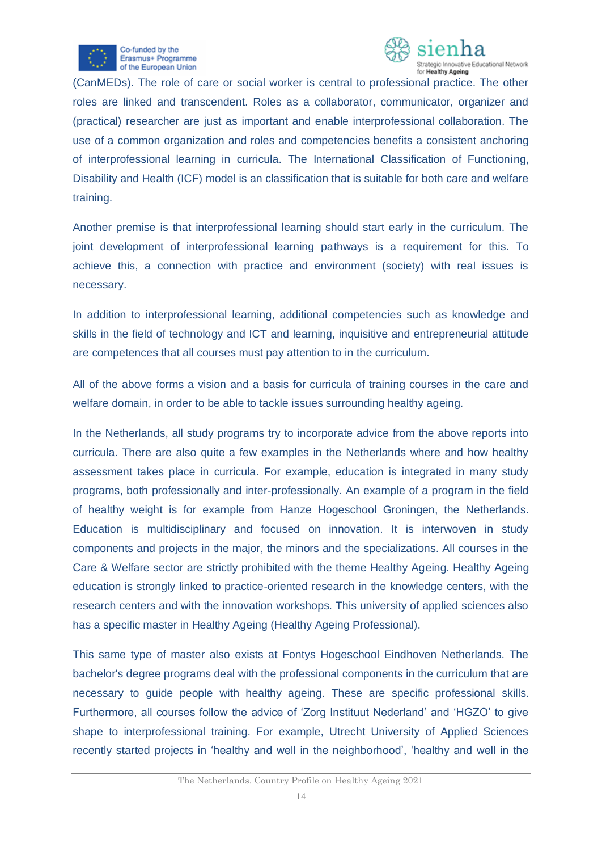



(CanMEDs). The role of care or social worker is central to professional practice. The other roles are linked and transcendent. Roles as a collaborator, communicator, organizer and (practical) researcher are just as important and enable interprofessional collaboration. The use of a common organization and roles and competencies benefits a consistent anchoring of interprofessional learning in curricula. The International Classification of Functioning, Disability and Health (ICF) model is an classification that is suitable for both care and welfare training.

Another premise is that interprofessional learning should start early in the curriculum. The joint development of interprofessional learning pathways is a requirement for this. To achieve this, a connection with practice and environment (society) with real issues is necessary.

In addition to interprofessional learning, additional competencies such as knowledge and skills in the field of technology and ICT and learning, inquisitive and entrepreneurial attitude are competences that all courses must pay attention to in the curriculum.

All of the above forms a vision and a basis for curricula of training courses in the care and welfare domain, in order to be able to tackle issues surrounding healthy ageing.

In the Netherlands, all study programs try to incorporate advice from the above reports into curricula. There are also quite a few examples in the Netherlands where and how healthy assessment takes place in curricula. For example, education is integrated in many study programs, both professionally and inter-professionally. An example of a program in the field of healthy weight is for example from Hanze Hogeschool Groningen, the Netherlands. Education is multidisciplinary and focused on innovation. It is interwoven in study components and projects in the major, the minors and the specializations. All courses in the Care & Welfare sector are strictly prohibited with the theme Healthy Ageing. Healthy Ageing education is strongly linked to practice-oriented research in the knowledge centers, with the research centers and with the innovation workshops. This university of applied sciences also has a specific master in Healthy Ageing (Healthy Ageing Professional).

This same type of master also exists at Fontys Hogeschool Eindhoven Netherlands. The bachelor's degree programs deal with the professional components in the curriculum that are necessary to guide people with healthy ageing. These are specific professional skills. Furthermore, all courses follow the advice of 'Zorg Instituut Nederland' and 'HGZO' to give shape to interprofessional training. For example, Utrecht University of Applied Sciences recently started projects in 'healthy and well in the neighborhood', 'healthy and well in the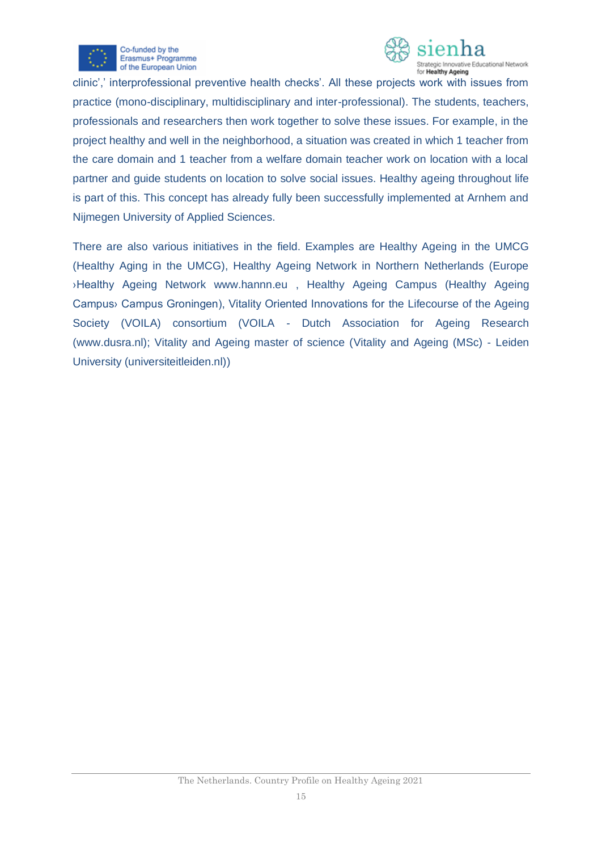



clinic',' interprofessional preventive health checks'. All these projects work with issues from practice (mono-disciplinary, multidisciplinary and inter-professional). The students, teachers, professionals and researchers then work together to solve these issues. For example, in the project healthy and well in the neighborhood, a situation was created in which 1 teacher from the care domain and 1 teacher from a welfare domain teacher work on location with a local partner and guide students on location to solve social issues. Healthy ageing throughout life is part of this. This concept has already fully been successfully implemented at Arnhem and Nijmegen University of Applied Sciences.

There are also various initiatives in the field. Examples are Healthy Ageing in the UMCG (Healthy Aging in the UMCG), Healthy Ageing Network in Northern Netherlands (Europe ›Healthy Ageing Network [www.hannn.eu](http://www.hannn.eu/) , Healthy Ageing Campus (Healthy Ageing Campus› Campus Groningen), Vitality Oriented Innovations for the Lifecourse of the Ageing Society (VOILA) consortium (VOILA - Dutch Association for Ageing Research [\(www.dusra.nl\)](http://www.dusra.nl/); Vitality and Ageing master of science [\(Vitality and Ageing \(MSc\) -](https://www.universiteitleiden.nl/en/education/study-programmes/master/vitality-and-ageing) Leiden [University \(universiteitleiden.nl\)\)](https://www.universiteitleiden.nl/en/education/study-programmes/master/vitality-and-ageing)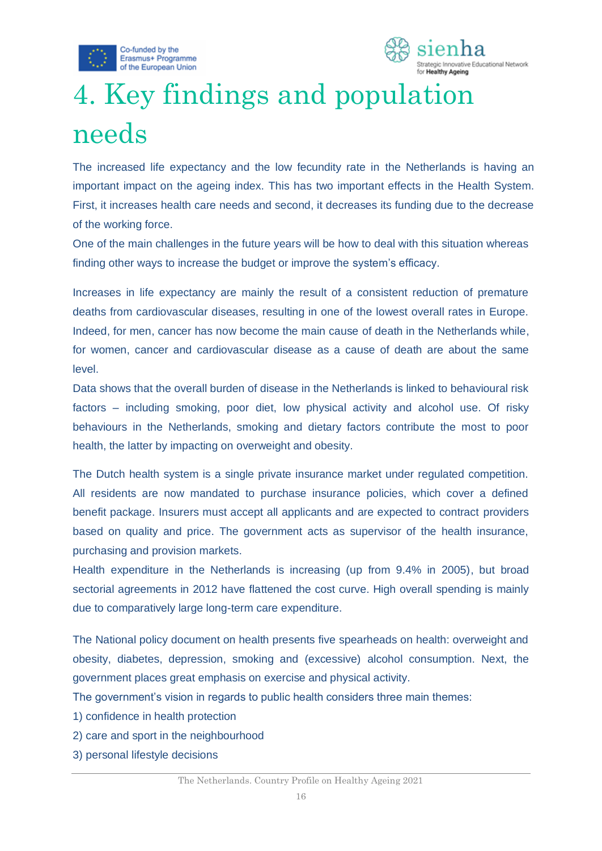



# <span id="page-16-0"></span>4. Key findings and population needs

The increased life expectancy and the low fecundity rate in the Netherlands is having an important impact on the ageing index. This has two important effects in the Health System. First, it increases health care needs and second, it decreases its funding due to the decrease of the working force.

One of the main challenges in the future years will be how to deal with this situation whereas finding other ways to increase the budget or improve the system's efficacy.

Increases in life expectancy are mainly the result of a consistent reduction of premature deaths from cardiovascular diseases, resulting in one of the lowest overall rates in Europe. Indeed, for men, cancer has now become the main cause of death in the Netherlands while, for women, cancer and cardiovascular disease as a cause of death are about the same level.

Data shows that the overall burden of disease in the Netherlands is linked to behavioural risk factors – including smoking, poor diet, low physical activity and alcohol use. Of risky behaviours in the Netherlands, smoking and dietary factors contribute the most to poor health, the latter by impacting on overweight and obesity.

The Dutch health system is a single private insurance market under regulated competition. All residents are now mandated to purchase insurance policies, which cover a defined benefit package. Insurers must accept all applicants and are expected to contract providers based on quality and price. The government acts as supervisor of the health insurance, purchasing and provision markets.

Health expenditure in the Netherlands is increasing (up from 9.4% in 2005), but broad sectorial agreements in 2012 have flattened the cost curve. High overall spending is mainly due to comparatively large long-term care expenditure.

The National policy document on health presents five spearheads on health: overweight and obesity, diabetes, depression, smoking and (excessive) alcohol consumption. Next, the government places great emphasis on exercise and physical activity.

The government's vision in regards to public health considers three main themes:

- 1) confidence in health protection
- 2) care and sport in the neighbourhood
- 3) personal lifestyle decisions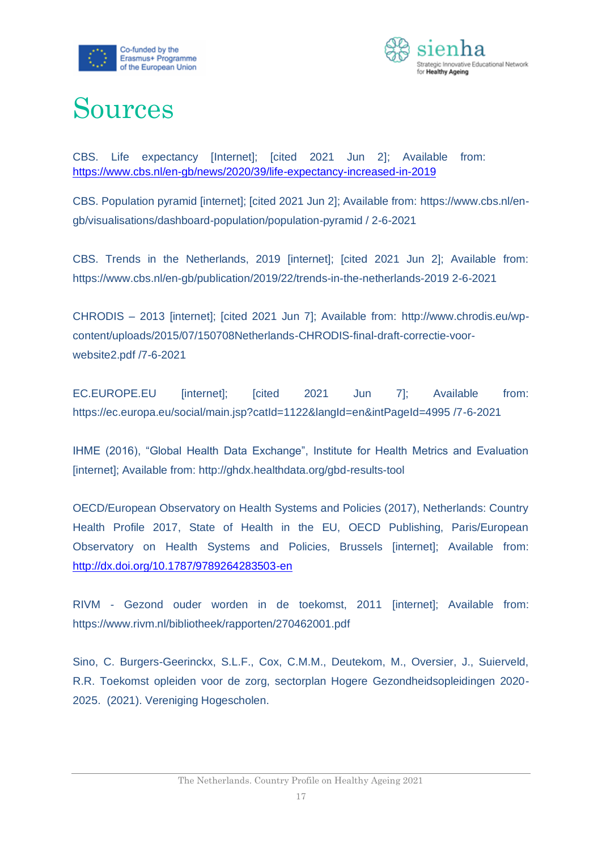



## <span id="page-17-0"></span>Sources

CBS. Life expectancy [Internet]; [cited 2021 Jun 2]; Available from: <https://www.cbs.nl/en-gb/news/2020/39/life-expectancy-increased-in-2019>

CBS. Population pyramid [internet]; [cited 2021 Jun 2]; Available from: https://www.cbs.nl/engb/visualisations/dashboard-population/population-pyramid / 2-6-2021

CBS. Trends in the Netherlands, 2019 [internet]; [cited 2021 Jun 2]; Available from: https://www.cbs.nl/en-gb/publication/2019/22/trends-in-the-netherlands-2019 2-6-2021

CHRODIS – 2013 [internet]; [cited 2021 Jun 7]; Available from: http://www.chrodis.eu/wpcontent/uploads/2015/07/150708Netherlands-CHRODIS-final-draft-correctie-voorwebsite2.pdf /7-6-2021

EC.EUROPE.EU [internet]; [cited 2021 Jun 7]; Available from: https://ec.europa.eu/social/main.jsp?catId=1122&langId=en&intPageId=4995 /7-6-2021

IHME (2016), "Global Health Data Exchange", Institute for Health Metrics and Evaluation [internet]; Available from: http://ghdx.healthdata.org/gbd-results-tool

OECD/European Observatory on Health Systems and Policies (2017), Netherlands: Country Health Profile 2017, State of Health in the EU, OECD Publishing, Paris/European Observatory on Health Systems and Policies, Brussels [internet]; Available from: <http://dx.doi.org/10.1787/9789264283503-en>

RIVM - Gezond ouder worden in de toekomst, 2011 [internet]; Available from: https://www.rivm.nl/bibliotheek/rapporten/270462001.pdf

Sino, C. Burgers-Geerinckx, S.L.F., Cox, C.M.M., Deutekom, M., Oversier, J., Suierveld, R.R. Toekomst opleiden voor de zorg, sectorplan Hogere Gezondheidsopleidingen 2020- 2025. (2021). Vereniging Hogescholen.